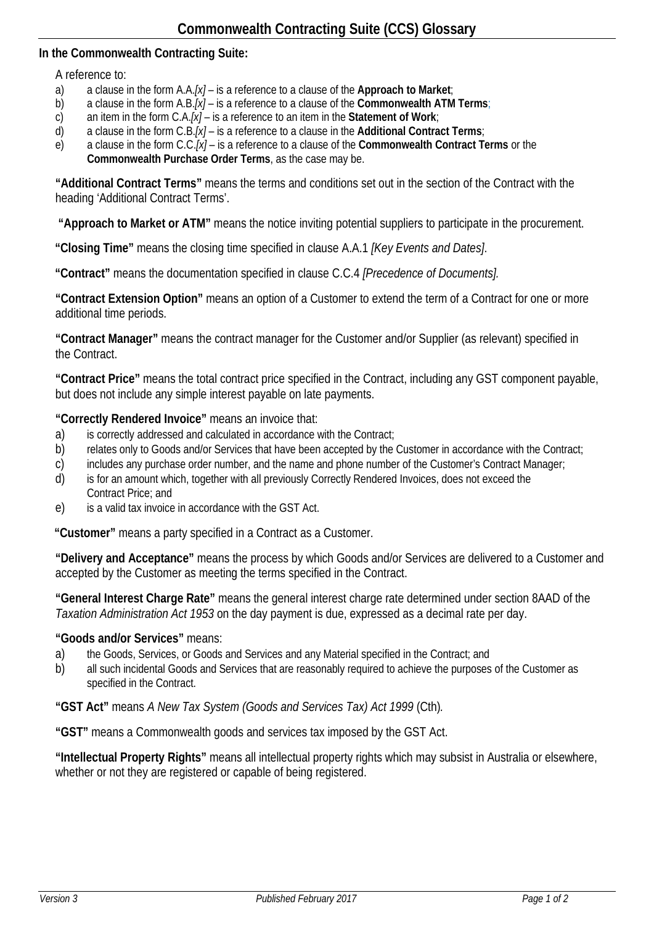## **In the Commonwealth Contracting Suite:**

## A reference to:

- a) a clause in the form A.A.*[x]* is a reference to a clause of the **Approach to Market**;
- b) a clause in the form A.B.*[x]* is a reference to a clause of the **Commonwealth ATM Terms**;
- c) an item in the form C.A.*[x]* is a reference to an item in the **Statement of Work**;
- d) a clause in the form C.B.*[x]* is a reference to a clause in the **Additional Contract Terms**;
- e) a clause in the form C.C.*[x]* is a reference to a clause of the **Commonwealth Contract Terms** or the **Commonwealth Purchase Order Terms**, as the case may be.

**"Additional Contract Terms"** means the terms and conditions set out in the section of the Contract with the heading 'Additional Contract Terms'.

**"Approach to Market or ATM"** means the notice inviting potential suppliers to participate in the procurement.

**"Closing Time"** means the closing time specified in clause A.A.1 *[Key Events and Dates]*.

**"Contract"** means the documentation specified in clause C.C.4 *[Precedence of Documents].*

**"Contract Extension Option"** means an option of a Customer to extend the term of a Contract for one or more additional time periods.

**"Contract Manager"** means the contract manager for the Customer and/or Supplier (as relevant) specified in the Contract.

**"Contract Price"** means the total contract price specified in the Contract, including any GST component payable, but does not include any simple interest payable on late payments.

**"Correctly Rendered Invoice"** means an invoice that:

- a) is correctly addressed and calculated in accordance with the Contract;
- b) relates only to Goods and/or Services that have been accepted by the Customer in accordance with the Contract;
- c) includes any purchase order number, and the name and phone number of the Customer's Contract Manager;
- d) is for an amount which, together with all previously Correctly Rendered Invoices, does not exceed the Contract Price; and
- e) is a valid tax invoice in accordance with the GST Act.

**"Customer"** means a party specified in a Contract as a Customer.

**"Delivery and Acceptance"** means the process by which Goods and/or Services are delivered to a Customer and accepted by the Customer as meeting the terms specified in the Contract.

**"General Interest Charge Rate"** means the general interest charge rate determined under section 8AAD of the *Taxation Administration Act 1953* on the day payment is due, expressed as a decimal rate per day.

## **"Goods and/or Services"** means:

- a) the Goods, Services, or Goods and Services and any Material specified in the Contract; and
- b) all such incidental Goods and Services that are reasonably required to achieve the purposes of the Customer as specified in the Contract.

**"GST Act"** means *A New Tax System (Goods and Services Tax) Act 1999* (Cth)*.*

**"GST"** means a Commonwealth goods and services tax imposed by the GST Act.

**"Intellectual Property Rights"** means all intellectual property rights which may subsist in Australia or elsewhere, whether or not they are registered or capable of being registered.